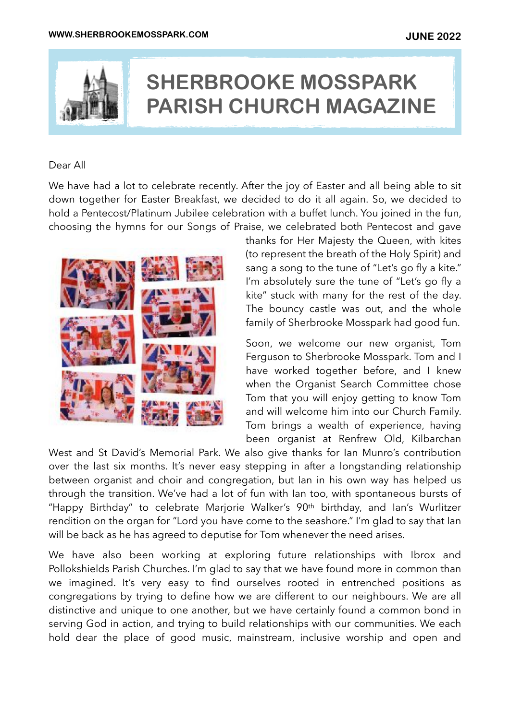

# **SHERBROOKE MOSSPARK PARISH CHURCH MAGAZINE**

#### Dear All

We have had a lot to celebrate recently. After the joy of Easter and all being able to sit down together for Easter Breakfast, we decided to do it all again. So, we decided to hold a Pentecost/Platinum Jubilee celebration with a buffet lunch. You joined in the fun, choosing the hymns for our Songs of Praise, we celebrated both Pentecost and gave



thanks for Her Majesty the Queen, with kites (to represent the breath of the Holy Spirit) and sang a song to the tune of "Let's go fly a kite." I'm absolutely sure the tune of "Let's go fly a kite" stuck with many for the rest of the day. The bouncy castle was out, and the whole family of Sherbrooke Mosspark had good fun.

Soon, we welcome our new organist, Tom Ferguson to Sherbrooke Mosspark. Tom and I have worked together before, and I knew when the Organist Search Committee chose Tom that you will enjoy getting to know Tom and will welcome him into our Church Family. Tom brings a wealth of experience, having been organist at Renfrew Old, Kilbarchan

West and St David's Memorial Park. We also give thanks for Ian Munro's contribution over the last six months. It's never easy stepping in after a longstanding relationship between organist and choir and congregation, but Ian in his own way has helped us through the transition. We've had a lot of fun with Ian too, with spontaneous bursts of "Happy Birthday" to celebrate Marjorie Walker's 90th birthday, and Ian's Wurlitzer rendition on the organ for "Lord you have come to the seashore." I'm glad to say that Ian will be back as he has agreed to deputise for Tom whenever the need arises.

We have also been working at exploring future relationships with Ibrox and Pollokshields Parish Churches. I'm glad to say that we have found more in common than we imagined. It's very easy to find ourselves rooted in entrenched positions as congregations by trying to define how we are different to our neighbours. We are all distinctive and unique to one another, but we have certainly found a common bond in serving God in action, and trying to build relationships with our communities. We each hold dear the place of good music, mainstream, inclusive worship and open and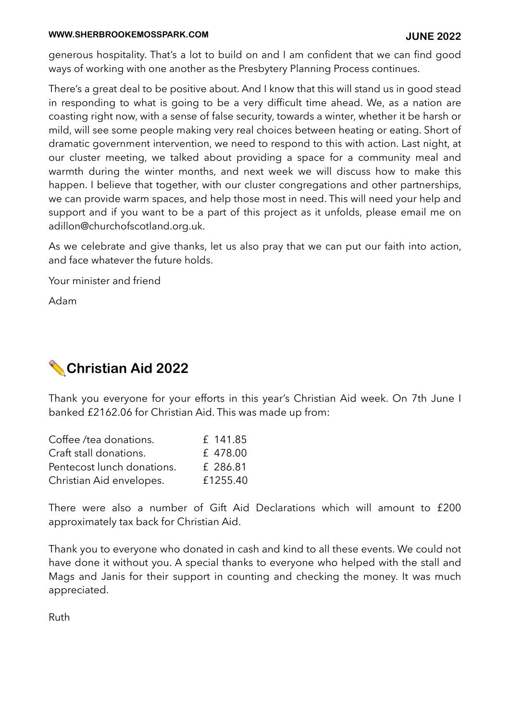#### **WWW.SHERBROOKEMOSSPARK.COM JUNE 2022**

generous hospitality. That's a lot to build on and I am confident that we can find good ways of working with one another as the Presbytery Planning Process continues.

There's a great deal to be positive about. And I know that this will stand us in good stead in responding to what is going to be a very difficult time ahead. We, as a nation are coasting right now, with a sense of false security, towards a winter, whether it be harsh or mild, will see some people making very real choices between heating or eating. Short of dramatic government intervention, we need to respond to this with action. Last night, at our cluster meeting, we talked about providing a space for a community meal and warmth during the winter months, and next week we will discuss how to make this happen. I believe that together, with our cluster congregations and other partnerships, we can provide warm spaces, and help those most in need. This will need your help and support and if you want to be a part of this project as it unfolds, please email me on [adillon@churchofscotland.org.uk](mailto:adillon@churchofscotland.org.uk).

As we celebrate and give thanks, let us also pray that we can put our faith into action, and face whatever the future holds.

Your minister and friend

Adam

# ✏ **Christian Aid 2022**

Thank you everyone for your efforts in this year's Christian Aid week. On 7th June I banked £2162.06 for Christian Aid. This was made up from:

| Coffee /tea donations.     | £ 141.85 |
|----------------------------|----------|
| Craft stall donations.     | £478.00  |
| Pentecost lunch donations. | £ 286.81 |
| Christian Aid envelopes.   | £1255.40 |

There were also a number of Gift Aid Declarations which will amount to £200 approximately tax back for Christian Aid.

Thank you to everyone who donated in cash and kind to all these events. We could not have done it without you. A special thanks to everyone who helped with the stall and Mags and Janis for their support in counting and checking the money. It was much appreciated.

Ruth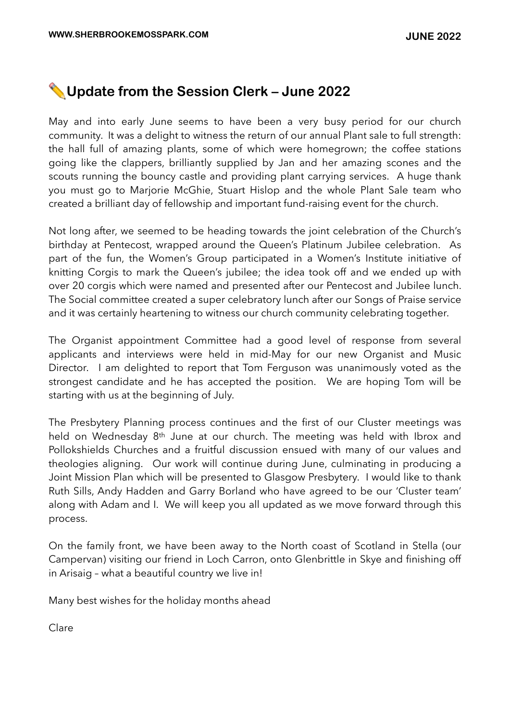#### ✏ **Update from the Session Clerk – June 2022**

May and into early June seems to have been a very busy period for our church community. It was a delight to witness the return of our annual Plant sale to full strength: the hall full of amazing plants, some of which were homegrown; the coffee stations going like the clappers, brilliantly supplied by Jan and her amazing scones and the scouts running the bouncy castle and providing plant carrying services. A huge thank you must go to Marjorie McGhie, Stuart Hislop and the whole Plant Sale team who created a brilliant day of fellowship and important fund-raising event for the church.

Not long after, we seemed to be heading towards the joint celebration of the Church's birthday at Pentecost, wrapped around the Queen's Platinum Jubilee celebration. As part of the fun, the Women's Group participated in a Women's Institute initiative of knitting Corgis to mark the Queen's jubilee; the idea took off and we ended up with over 20 corgis which were named and presented after our Pentecost and Jubilee lunch. The Social committee created a super celebratory lunch after our Songs of Praise service and it was certainly heartening to witness our church community celebrating together.

The Organist appointment Committee had a good level of response from several applicants and interviews were held in mid-May for our new Organist and Music Director. I am delighted to report that Tom Ferguson was unanimously voted as the strongest candidate and he has accepted the position. We are hoping Tom will be starting with us at the beginning of July.

The Presbytery Planning process continues and the first of our Cluster meetings was held on Wednesday 8<sup>th</sup> June at our church. The meeting was held with Ibrox and Pollokshields Churches and a fruitful discussion ensued with many of our values and theologies aligning. Our work will continue during June, culminating in producing a Joint Mission Plan which will be presented to Glasgow Presbytery. I would like to thank Ruth Sills, Andy Hadden and Garry Borland who have agreed to be our 'Cluster team' along with Adam and I. We will keep you all updated as we move forward through this process.

On the family front, we have been away to the North coast of Scotland in Stella (our Campervan) visiting our friend in Loch Carron, onto Glenbrittle in Skye and finishing off in Arisaig – what a beautiful country we live in!

Many best wishes for the holiday months ahead

Clare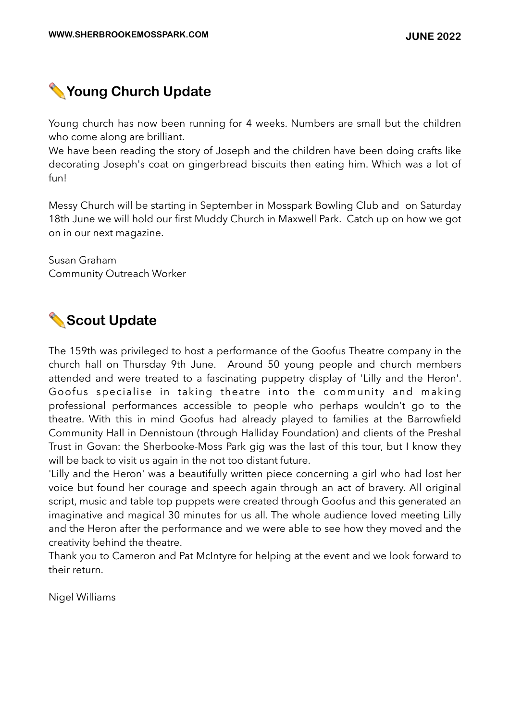

Young church has now been running for 4 weeks. Numbers are small but the children who come along are brilliant.

We have been reading the story of Joseph and the children have been doing crafts like decorating Joseph's coat on gingerbread biscuits then eating him. Which was a lot of fun!

Messy Church will be starting in September in Mosspark Bowling Club and on Saturday 18th June we will hold our first Muddy Church in Maxwell Park. Catch up on how we got on in our next magazine.

Susan Graham Community Outreach Worker

# ✏ **Scout Update**

The 159th was privileged to host a performance of the Goofus Theatre company in the church hall on Thursday 9th June. Around 50 young people and church members attended and were treated to a fascinating puppetry display of 'Lilly and the Heron'. Goofus specialise in taking theatre into the community and making professional performances accessible to people who perhaps wouldn't go to the theatre. With this in mind Goofus had already played to families at the Barrowfield Community Hall in Dennistoun (through Halliday Foundation) and clients of the Preshal Trust in Govan: the Sherbooke-Moss Park gig was the last of this tour, but I know they will be back to visit us again in the not too distant future.

'Lilly and the Heron' was a beautifully written piece concerning a girl who had lost her voice but found her courage and speech again through an act of bravery. All original script, music and table top puppets were created through Goofus and this generated an imaginative and magical 30 minutes for us all. The whole audience loved meeting Lilly and the Heron after the performance and we were able to see how they moved and the creativity behind the theatre.

Thank you to Cameron and Pat McIntyre for helping at the event and we look forward to their return.

Nigel Williams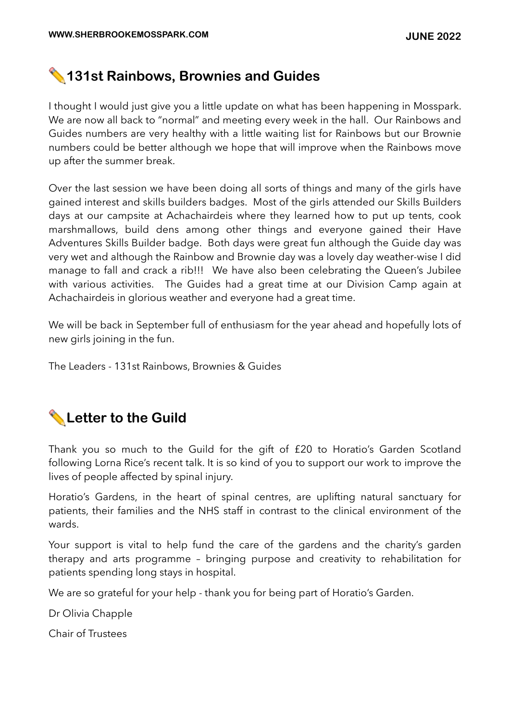#### ✏ **131st Rainbows, Brownies and Guides**

I thought I would just give you a little update on what has been happening in Mosspark. We are now all back to "normal" and meeting every week in the hall. Our Rainbows and Guides numbers are very healthy with a little waiting list for Rainbows but our Brownie numbers could be better although we hope that will improve when the Rainbows move up after the summer break.

Over the last session we have been doing all sorts of things and many of the girls have gained interest and skills builders badges. Most of the girls attended our Skills Builders days at our campsite at Achachairdeis where they learned how to put up tents, cook marshmallows, build dens among other things and everyone gained their Have Adventures Skills Builder badge. Both days were great fun although the Guide day was very wet and although the Rainbow and Brownie day was a lovely day weather-wise I did manage to fall and crack a rib!!! We have also been celebrating the Queen's Jubilee with various activities. The Guides had a great time at our Division Camp again at Achachairdeis in glorious weather and everyone had a great time.

We will be back in September full of enthusiasm for the year ahead and hopefully lots of new girls joining in the fun.

The Leaders - 131st Rainbows, Brownies & Guides

# ✏ **Letter to the Guild**

Thank you so much to the Guild for the gift of £20 to Horatio's Garden Scotland following Lorna Rice's recent talk. It is so kind of you to support our work to improve the lives of people affected by spinal injury.

Horatio's Gardens, in the heart of spinal centres, are uplifting natural sanctuary for patients, their families and the NHS staff in contrast to the clinical environment of the wards.

Your support is vital to help fund the care of the gardens and the charity's garden therapy and arts programme – bringing purpose and creativity to rehabilitation for patients spending long stays in hospital.

We are so grateful for your help - thank you for being part of Horatio's Garden.

Dr Olivia Chapple

Chair of Trustees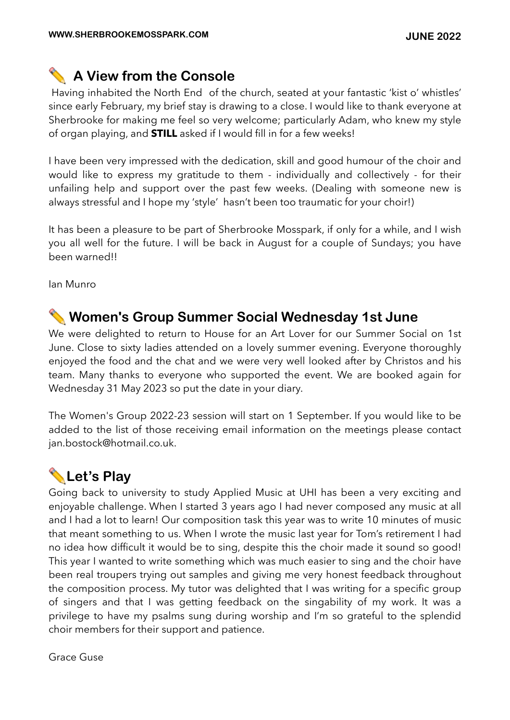## ✏ **A View from the Console**

Having inhabited the North End of the church, seated at your fantastic 'kist o' whistles' since early February, my brief stay is drawing to a close. I would like to thank everyone at Sherbrooke for making me feel so very welcome; particularly Adam, who knew my style of organ playing, and **STILL** asked if I would fill in for a few weeks!

I have been very impressed with the dedication, skill and good humour of the choir and would like to express my gratitude to them - individually and collectively - for their unfailing help and support over the past few weeks. (Dealing with someone new is always stressful and I hope my 'style' hasn't been too traumatic for your choir!)

It has been a pleasure to be part of Sherbrooke Mosspark, if only for a while, and I wish you all well for the future. I will be back in August for a couple of Sundays; you have been warned!!

Ian Munro

#### ✏ **Women's Group Summer Social Wednesday 1st June**

We were delighted to return to House for an Art Lover for our Summer Social on 1st June. Close to sixty ladies attended on a lovely summer evening. Everyone thoroughly enjoyed the food and the chat and we were very well looked after by Christos and his team. Many thanks to everyone who supported the event. We are booked again for Wednesday 31 May 2023 so put the date in your diary.

The Women's Group 2022-23 session will start on 1 September. If you would like to be added to the list of those receiving email information on the meetings please contact [jan.bostock@hotmail.co.uk.](mailto:jan.bostock@hotmail.co.uk)

# ✏ **Let's Play**

Going back to university to study Applied Music at UHI has been a very exciting and enjoyable challenge. When I started 3 years ago I had never composed any music at all and I had a lot to learn! Our composition task this year was to write 10 minutes of music that meant something to us. When I wrote the music last year for Tom's retirement I had no idea how difficult it would be to sing, despite this the choir made it sound so good! This year I wanted to write something which was much easier to sing and the choir have been real troupers trying out samples and giving me very honest feedback throughout the composition process. My tutor was delighted that I was writing for a specific group of singers and that I was getting feedback on the singability of my work. It was a privilege to have my psalms sung during worship and I'm so grateful to the splendid choir members for their support and patience.

Grace Guse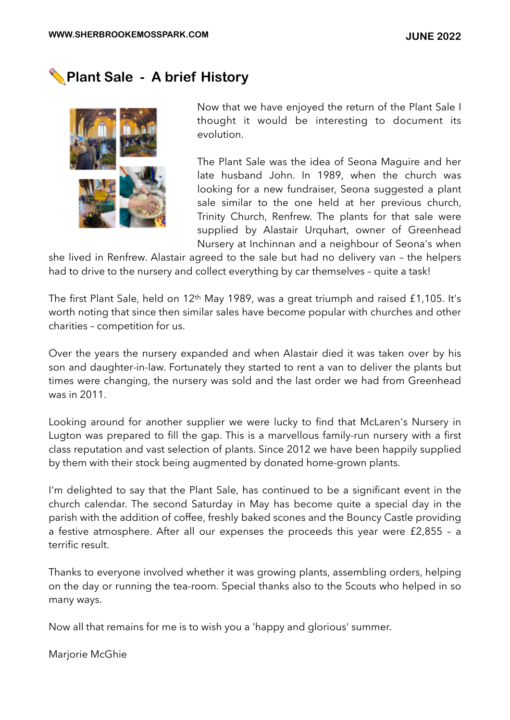## ✏ **Plant Sale - A brief History**



Now that we have enjoyed the return of the Plant Sale I thought it would be interesting to document its evolution.

The Plant Sale was the idea of Seona Maguire and her late husband John. In 1989, when the church was looking for a new fundraiser, Seona suggested a plant sale similar to the one held at her previous church, Trinity Church, Renfrew. The plants for that sale were supplied by Alastair Urquhart, owner of Greenhead Nursery at Inchinnan and a neighbour of Seona's when

she lived in Renfrew. Alastair agreed to the sale but had no delivery van – the helpers had to drive to the nursery and collect everything by car themselves – quite a task!

The first Plant Sale, held on 12th May 1989, was a great triumph and raised £1,105. It's worth noting that since then similar sales have become popular with churches and other charities – competition for us.

Over the years the nursery expanded and when Alastair died it was taken over by his son and daughter-in-law. Fortunately they started to rent a van to deliver the plants but times were changing, the nursery was sold and the last order we had from Greenhead was in 2011.

Looking around for another supplier we were lucky to find that McLaren's Nursery in Lugton was prepared to fill the gap. This is a marvellous family-run nursery with a first class reputation and vast selection of plants. Since 2012 we have been happily supplied by them with their stock being augmented by donated home-grown plants.

I'm delighted to say that the Plant Sale, has continued to be a significant event in the church calendar. The second Saturday in May has become quite a special day in the parish with the addition of coffee, freshly baked scones and the Bouncy Castle providing a festive atmosphere. After all our expenses the proceeds this year were £2,855 – a terrific result.

Thanks to everyone involved whether it was growing plants, assembling orders, helping on the day or running the tea-room. Special thanks also to the Scouts who helped in so many ways.

Now all that remains for me is to wish you a 'happy and glorious' summer.

Marjorie McGhie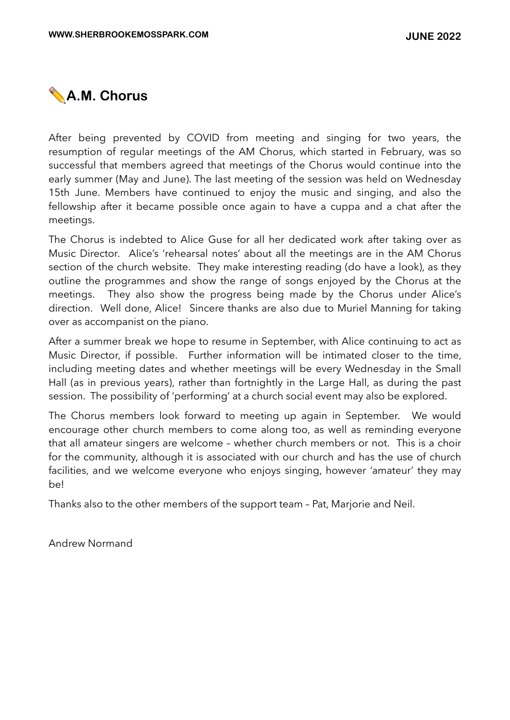

After being prevented by COVID from meeting and singing for two years, the resumption of regular meetings of the AM Chorus, which started in February, was so successful that members agreed that meetings of the Chorus would continue into the early summer (May and June). The last meeting of the session was held on Wednesday 15th June. Members have continued to enjoy the music and singing, and also the fellowship after it became possible once again to have a cuppa and a chat after the meetings.

The Chorus is indebted to Alice Guse for all her dedicated work after taking over as Music Director. Alice's 'rehearsal notes' about all the meetings are in the AM Chorus section of the church website. They make interesting reading (do have a look), as they outline the programmes and show the range of songs enjoyed by the Chorus at the meetings. They also show the progress being made by the Chorus under Alice's direction. Well done, Alice! Sincere thanks are also due to Muriel Manning for taking over as accompanist on the piano.

After a summer break we hope to resume in September, with Alice continuing to act as Music Director, if possible. Further information will be intimated closer to the time, including meeting dates and whether meetings will be every Wednesday in the Small Hall (as in previous years), rather than fortnightly in the Large Hall, as during the past session. The possibility of 'performing' at a church social event may also be explored.

The Chorus members look forward to meeting up again in September. We would encourage other church members to come along too, as well as reminding everyone that all amateur singers are welcome – whether church members or not. This is a choir for the community, although it is associated with our church and has the use of church facilities, and we welcome everyone who enjoys singing, however 'amateur' they may be!

Thanks also to the other members of the support team – Pat, Marjorie and Neil.

Andrew Normand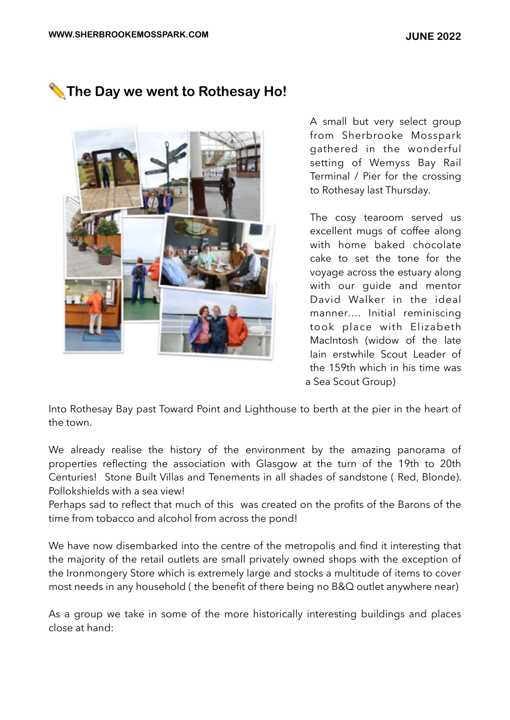### ✏ **The Day we went to Rothesay Ho!**



A small but very select group from Sherbrooke Mosspark gathered in the wonderful setting of Wemyss Bay Rail Terminal / Pier for the crossing to Rothesay last Thursday.

The cosy tearoom served us excellent mugs of coffee along with home baked chocolate cake to set the tone for the voyage across the estuary along with our quide and mentor David Walker in the ideal manner…. Initial reminiscing took place with Elizabeth MacIntosh (widow of the late Iain erstwhile Scout Leader of the 159th which in his time was a Sea Scout Group)

Into Rothesay Bay past Toward Point and Lighthouse to berth at the pier in the heart of the town.

We already realise the history of the environment by the amazing panorama of properties reflecting the association with Glasgow at the turn of the 19th to 20th Centuries! Stone Built Villas and Tenements in all shades of sandstone ( Red, Blonde). Pollokshields with a sea view!

Perhaps sad to reflect that much of this was created on the profits of the Barons of the time from tobacco and alcohol from across the pond!

We have now disembarked into the centre of the metropolis and find it interesting that the majority of the retail outlets are small privately owned shops with the exception of the Ironmongery Store which is extremely large and stocks a multitude of items to cover most needs in any household ( the benefit of there being no B&Q outlet anywhere near)

As a group we take in some of the more historically interesting buildings and places close at hand: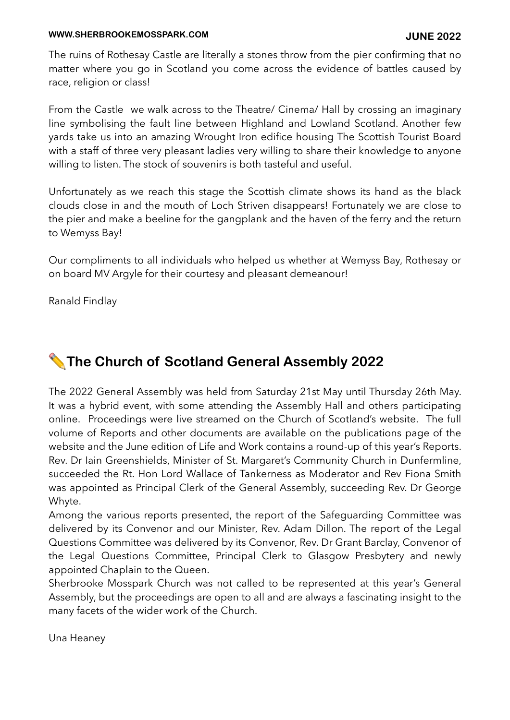#### **WWW.SHERBROOKEMOSSPARK.COM JUNE 2022**

The ruins of Rothesay Castle are literally a stones throw from the pier confirming that no matter where you go in Scotland you come across the evidence of battles caused by race, religion or class!

From the Castle we walk across to the Theatre/ Cinema/ Hall by crossing an imaginary line symbolising the fault line between Highland and Lowland Scotland. Another few yards take us into an amazing Wrought Iron edifice housing The Scottish Tourist Board with a staff of three very pleasant ladies very willing to share their knowledge to anyone willing to listen. The stock of souvenirs is both tasteful and useful.

Unfortunately as we reach this stage the Scottish climate shows its hand as the black clouds close in and the mouth of Loch Striven disappears! Fortunately we are close to the pier and make a beeline for the gangplank and the haven of the ferry and the return to Wemyss Bay!

Our compliments to all individuals who helped us whether at Wemyss Bay, Rothesay or on board MV Argyle for their courtesy and pleasant demeanour!

Ranald Findlay

# ✏ **The Church of Scotland General Assembly 2022**

The 2022 General Assembly was held from Saturday 21st May until Thursday 26th May. It was a hybrid event, with some attending the Assembly Hall and others participating online. Proceedings were live streamed on the Church of Scotland's website. The full volume of Reports and other documents are available on the publications page of the website and the June edition of Life and Work contains a round-up of this year's Reports. Rev. Dr Iain Greenshields, Minister of St. Margaret's Community Church in Dunfermline, succeeded the Rt. Hon Lord Wallace of Tankerness as Moderator and Rev Fiona Smith was appointed as Principal Clerk of the General Assembly, succeeding Rev. Dr George Whyte.

Among the various reports presented, the report of the Safeguarding Committee was delivered by its Convenor and our Minister, Rev. Adam Dillon. The report of the Legal Questions Committee was delivered by its Convenor, Rev. Dr Grant Barclay, Convenor of the Legal Questions Committee, Principal Clerk to Glasgow Presbytery and newly appointed Chaplain to the Queen.

Sherbrooke Mosspark Church was not called to be represented at this year's General Assembly, but the proceedings are open to all and are always a fascinating insight to the many facets of the wider work of the Church.

Una Heaney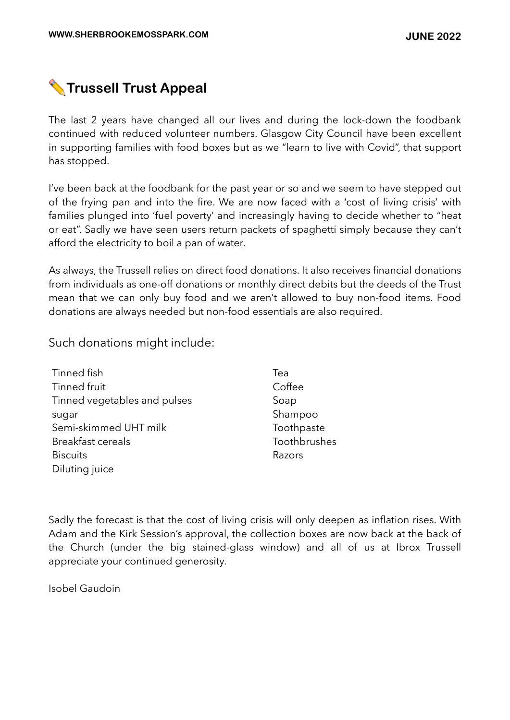# ✏ **Trussell Trust Appeal**

The last 2 years have changed all our lives and during the lock-down the foodbank continued with reduced volunteer numbers. Glasgow City Council have been excellent in supporting families with food boxes but as we "learn to live with Covid", that support has stopped.

I've been back at the foodbank for the past year or so and we seem to have stepped out of the frying pan and into the fire. We are now faced with a 'cost of living crisis' with families plunged into 'fuel poverty' and increasingly having to decide whether to "heat or eat". Sadly we have seen users return packets of spaghetti simply because they can't afford the electricity to boil a pan of water.

As always, the Trussell relies on direct food donations. It also receives financial donations from individuals as one-off donations or monthly direct debits but the deeds of the Trust mean that we can only buy food and we aren't allowed to buy non-food items. Food donations are always needed but non-food essentials are also required.

Such donations might include:

| Tinned fish                  | Tea          |
|------------------------------|--------------|
| Tinned fruit                 | Coffee       |
| Tinned vegetables and pulses | Soap         |
| sugar                        | Shampoo      |
| Semi-skimmed UHT milk        | Toothpaste   |
| <b>Breakfast cereals</b>     | Toothbrushes |
| <b>Biscuits</b>              | Razors       |
| Diluting juice               |              |

Sadly the forecast is that the cost of living crisis will only deepen as inflation rises. With Adam and the Kirk Session's approval, the collection boxes are now back at the back of the Church (under the big stained-glass window) and all of us at Ibrox Trussell appreciate your continued generosity.

Isobel Gaudoin